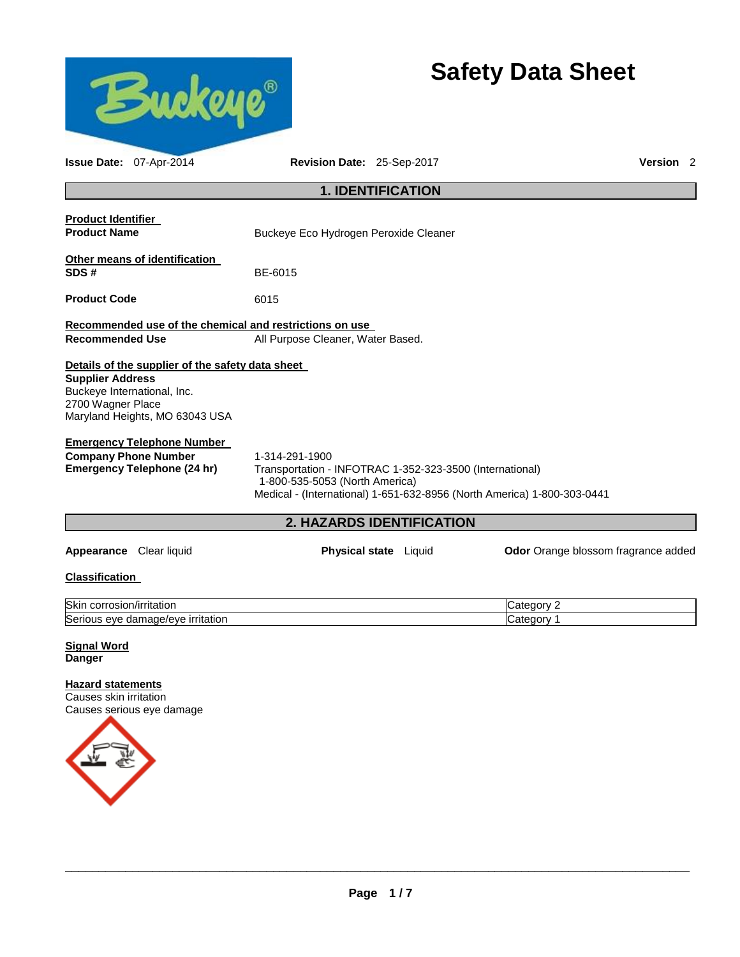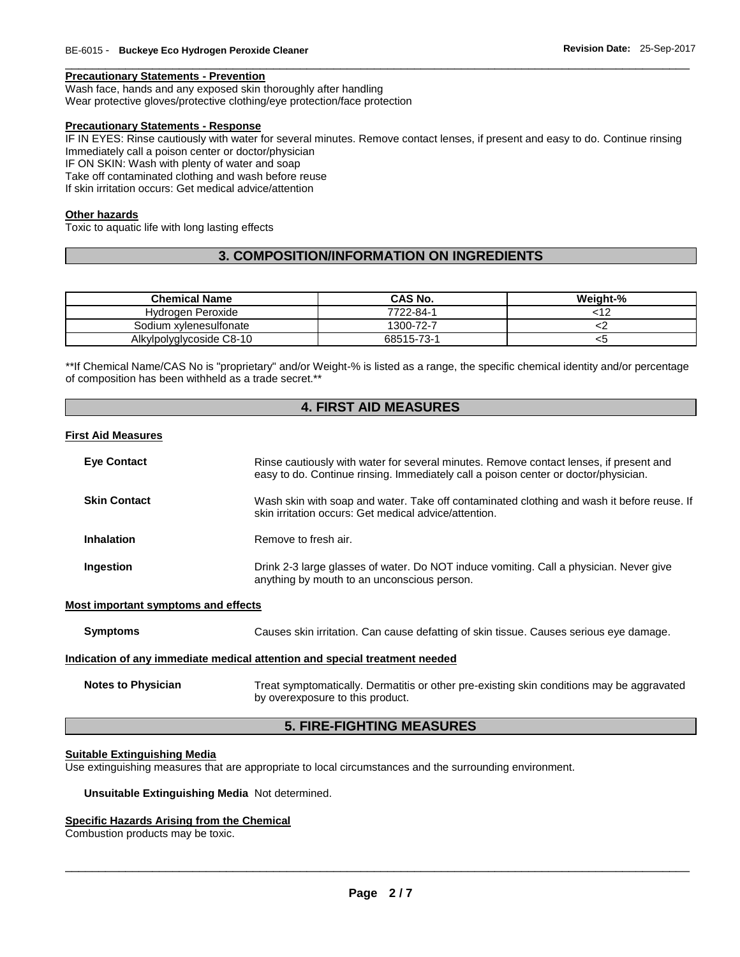#### **Precautionary Statements - Prevention**

Wash face, hands and any exposed skin thoroughly after handling

Wear protective gloves/protective clothing/eye protection/face protection

# **Precautionary Statements - Response**

IF IN EYES: Rinse cautiously with water for several minutes. Remove contact lenses, if present and easy to do. Continue rinsing Immediately call a poison center or doctor/physician

\_\_\_\_\_\_\_\_\_\_\_\_\_\_\_\_\_\_\_\_\_\_\_\_\_\_\_\_\_\_\_\_\_\_\_\_\_\_\_\_\_\_\_\_\_\_\_\_\_\_\_\_\_\_\_\_\_\_\_\_\_\_\_\_\_\_\_\_\_\_\_\_\_\_\_\_\_\_\_\_\_\_\_\_\_\_\_\_\_\_\_\_\_

IF ON SKIN: Wash with plenty of water and soap

Take off contaminated clothing and wash before reuse

If skin irritation occurs: Get medical advice/attention

#### **Other hazards**

Toxic to aquatic life with long lasting effects

# **3. COMPOSITION/INFORMATION ON INGREDIENTS**

| <b>Chemical Name</b>     | CAS No.    | Weight-% |
|--------------------------|------------|----------|
|                          |            |          |
| Hydrogen Peroxide        | 7722-84-1  |          |
| Sodium xylenesulfonate   | 1300-72-7  |          |
| Alkylpolyglycoside C8-10 | 68515-73-1 | <5       |

\*\*If Chemical Name/CAS No is "proprietary" and/or Weight-% is listed as a range, the specific chemical identity and/or percentage of composition has been withheld as a trade secret.\*\*

# **4. FIRST AID MEASURES**

#### **First Aid Measures**

| <b>Eye Contact</b>  | Rinse cautiously with water for several minutes. Remove contact lenses, if present and<br>easy to do. Continue rinsing. Immediately call a poison center or doctor/physician. |
|---------------------|-------------------------------------------------------------------------------------------------------------------------------------------------------------------------------|
| <b>Skin Contact</b> | Wash skin with soap and water. Take off contaminated clothing and wash it before reuse. If<br>skin irritation occurs: Get medical advice/attention.                           |
| Inhalation          | Remove to fresh air.                                                                                                                                                          |
| Ingestion           | Drink 2-3 large glasses of water. Do NOT induce vomiting. Call a physician. Never give<br>anything by mouth to an unconscious person.                                         |

#### **Most important symptoms and effects**

| Symptoms                  | Causes skin irritation. Can cause defatting of skin tissue. Causes serious eye damage.    |
|---------------------------|-------------------------------------------------------------------------------------------|
|                           | Indication of any immediate medical attention and special treatment needed                |
| <b>Notes to Physician</b> | Treat symptomatically. Dermatitis or other pre-existing skin conditions may be aggravated |

### **5. FIRE-FIGHTING MEASURES**

#### **Suitable Extinguishing Media**

Use extinguishing measures that are appropriate to local circumstances and the surrounding environment.

by overexposure to this product.

#### **Unsuitable Extinguishing Media** Not determined.

# **Specific Hazards Arising from the Chemical**

Combustion products may be toxic.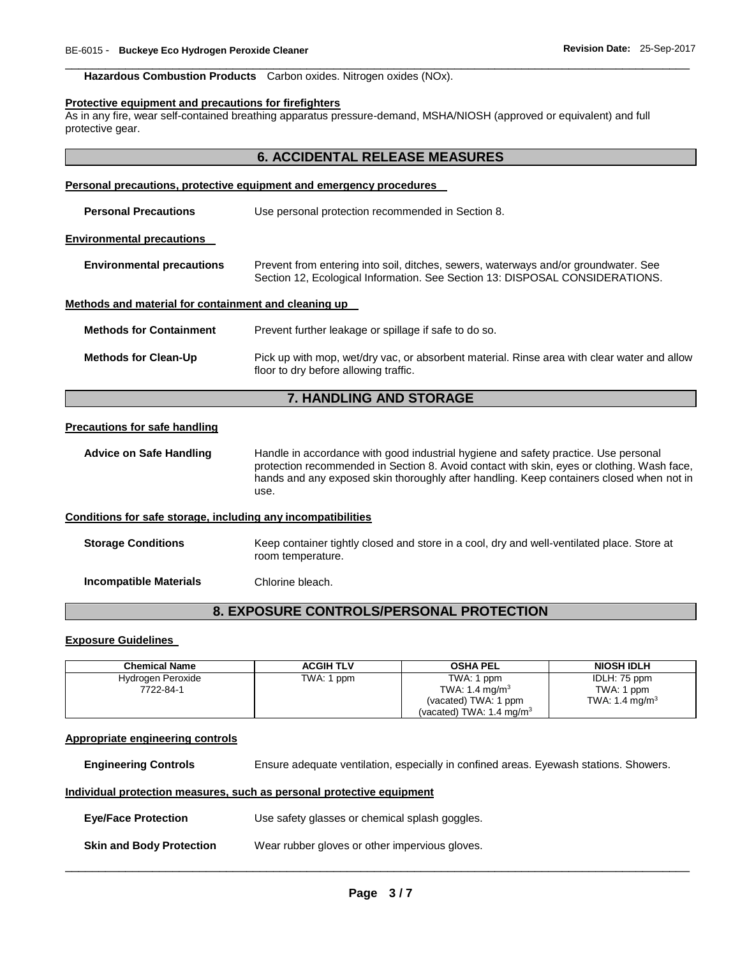# **Hazardous Combustion Products** Carbon oxides. Nitrogen oxides (NOx).

#### **Protective equipment and precautions for firefighters**

As in any fire, wear self-contained breathing apparatus pressure-demand, MSHA/NIOSH (approved or equivalent) and full protective gear.

\_\_\_\_\_\_\_\_\_\_\_\_\_\_\_\_\_\_\_\_\_\_\_\_\_\_\_\_\_\_\_\_\_\_\_\_\_\_\_\_\_\_\_\_\_\_\_\_\_\_\_\_\_\_\_\_\_\_\_\_\_\_\_\_\_\_\_\_\_\_\_\_\_\_\_\_\_\_\_\_\_\_\_\_\_\_\_\_\_\_\_\_\_

| <b>6. ACCIDENTAL RELEASE MEASURES</b>                               |                                                                                                                                                                                                                                                                                       |  |  |
|---------------------------------------------------------------------|---------------------------------------------------------------------------------------------------------------------------------------------------------------------------------------------------------------------------------------------------------------------------------------|--|--|
| Personal precautions, protective equipment and emergency procedures |                                                                                                                                                                                                                                                                                       |  |  |
| <b>Personal Precautions</b>                                         | Use personal protection recommended in Section 8.                                                                                                                                                                                                                                     |  |  |
| <b>Environmental precautions</b>                                    |                                                                                                                                                                                                                                                                                       |  |  |
| <b>Environmental precautions</b>                                    | Prevent from entering into soil, ditches, sewers, waterways and/or groundwater. See<br>Section 12, Ecological Information. See Section 13: DISPOSAL CONSIDERATIONS.                                                                                                                   |  |  |
| Methods and material for containment and cleaning up                |                                                                                                                                                                                                                                                                                       |  |  |
| <b>Methods for Containment</b>                                      | Prevent further leakage or spillage if safe to do so.                                                                                                                                                                                                                                 |  |  |
| <b>Methods for Clean-Up</b>                                         | Pick up with mop, wet/dry vac, or absorbent material. Rinse area with clear water and allow<br>floor to dry before allowing traffic.                                                                                                                                                  |  |  |
| 7. HANDLING AND STORAGE                                             |                                                                                                                                                                                                                                                                                       |  |  |
| <b>Precautions for safe handling</b>                                |                                                                                                                                                                                                                                                                                       |  |  |
| <b>Advice on Safe Handling</b>                                      | Handle in accordance with good industrial hygiene and safety practice. Use personal<br>protection recommended in Section 8. Avoid contact with skin, eyes or clothing. Wash face,<br>hands and any exposed skin thoroughly after handling. Keep containers closed when not in<br>use. |  |  |
| Conditions for safe storage, including any incompatibilities        |                                                                                                                                                                                                                                                                                       |  |  |
| <b>Storage Conditions</b>                                           | Keep container tightly closed and store in a cool, dry and well-ventilated place. Store at<br>room temperature.                                                                                                                                                                       |  |  |
| <b>Incompatible Materials</b>                                       | Chlorine bleach.                                                                                                                                                                                                                                                                      |  |  |
|                                                                     |                                                                                                                                                                                                                                                                                       |  |  |

### **Exposure Guidelines**

| <b>Chemical Name</b>           | <b>ACGIH TLV</b> | <b>OSHA PEL</b>                          | <b>NIOSH IDLH</b>          |
|--------------------------------|------------------|------------------------------------------|----------------------------|
| Hydrogen Peroxide<br>7722-84-1 | TWA: 1 ppm       | TWA: 1 ppm<br>TWA: 1.4 mg/m <sup>3</sup> | IDLH: 75 ppm<br>TWA: 1 ppm |
|                                |                  | (vacated) TWA: 1 ppm                     | TWA: 1.4 mg/m <sup>3</sup> |
|                                |                  | (vacated) TWA: $1.4 \text{ ma/m}^3$      |                            |

# **Appropriate engineering controls**

**Engineering Controls** Ensure adequate ventilation, especially in confined areas. Eyewash stations. Showers.

#### **Individual protection measures, such as personal protective equipment**

**Eye/Face Protection** Use safety glasses or chemical splash goggles.

**Skin and Body Protection** Wear rubber gloves or other impervious gloves.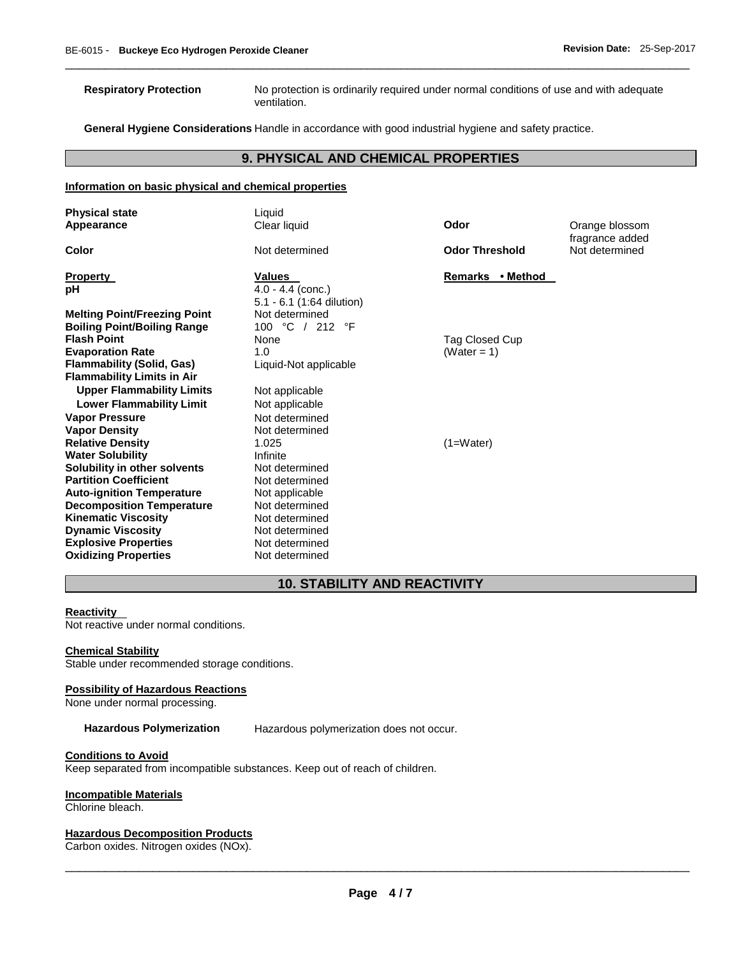**Respiratory Protection** No protection is ordinarily required under normal conditions of use and with adequate ventilation.

**General Hygiene Considerations** Handle in accordance with good industrial hygiene and safety practice.

# **9. PHYSICAL AND CHEMICAL PROPERTIES**

\_\_\_\_\_\_\_\_\_\_\_\_\_\_\_\_\_\_\_\_\_\_\_\_\_\_\_\_\_\_\_\_\_\_\_\_\_\_\_\_\_\_\_\_\_\_\_\_\_\_\_\_\_\_\_\_\_\_\_\_\_\_\_\_\_\_\_\_\_\_\_\_\_\_\_\_\_\_\_\_\_\_\_\_\_\_\_\_\_\_\_\_\_

### **Information on basic physical and chemical properties**

| <b>Physical state</b>               | Liquid                                             |                       |                                   |
|-------------------------------------|----------------------------------------------------|-----------------------|-----------------------------------|
| Appearance                          | Clear liquid                                       | Odor                  | Orange blossom                    |
| Color                               | Not determined                                     | <b>Odor Threshold</b> | fragrance added<br>Not determined |
| <b>Property</b>                     | <b>Values</b>                                      | Remarks • Method      |                                   |
| рH                                  | $4.0 - 4.4$ (conc.)<br>$5.1 - 6.1$ (1:64 dilution) |                       |                                   |
| <b>Melting Point/Freezing Point</b> | Not determined                                     |                       |                                   |
| <b>Boiling Point/Boiling Range</b>  | 100 °C / 212 °F                                    |                       |                                   |
| <b>Flash Point</b>                  | None                                               | Tag Closed Cup        |                                   |
| <b>Evaporation Rate</b>             | 1.0                                                | (Water = 1)           |                                   |
| <b>Flammability (Solid, Gas)</b>    | Liquid-Not applicable                              |                       |                                   |
| <b>Flammability Limits in Air</b>   |                                                    |                       |                                   |
| <b>Upper Flammability Limits</b>    | Not applicable                                     |                       |                                   |
| <b>Lower Flammability Limit</b>     | Not applicable                                     |                       |                                   |
| <b>Vapor Pressure</b>               | Not determined                                     |                       |                                   |
| <b>Vapor Density</b>                | Not determined                                     |                       |                                   |
| <b>Relative Density</b>             | 1.025                                              | $(1=Water)$           |                                   |
| <b>Water Solubility</b>             | Infinite                                           |                       |                                   |
| Solubility in other solvents        | Not determined                                     |                       |                                   |
| <b>Partition Coefficient</b>        | Not determined                                     |                       |                                   |
| <b>Auto-ignition Temperature</b>    | Not applicable                                     |                       |                                   |
| <b>Decomposition Temperature</b>    | Not determined                                     |                       |                                   |
| <b>Kinematic Viscosity</b>          | Not determined                                     |                       |                                   |
| <b>Dynamic Viscosity</b>            | Not determined                                     |                       |                                   |
| <b>Explosive Properties</b>         | Not determined                                     |                       |                                   |
| <b>Oxidizing Properties</b>         | Not determined                                     |                       |                                   |

# **10. STABILITY AND REACTIVITY**

#### **Reactivity**

Not reactive under normal conditions.

#### **Chemical Stability**

Stable under recommended storage conditions.

#### **Possibility of Hazardous Reactions**

None under normal processing.

**Hazardous Polymerization** Hazardous polymerization does not occur.

#### **Conditions to Avoid**

Keep separated from incompatible substances. Keep out of reach of children.

# **Incompatible Materials**

Chlorine bleach.

#### **Hazardous Decomposition Products**

Carbon oxides. Nitrogen oxides (NOx).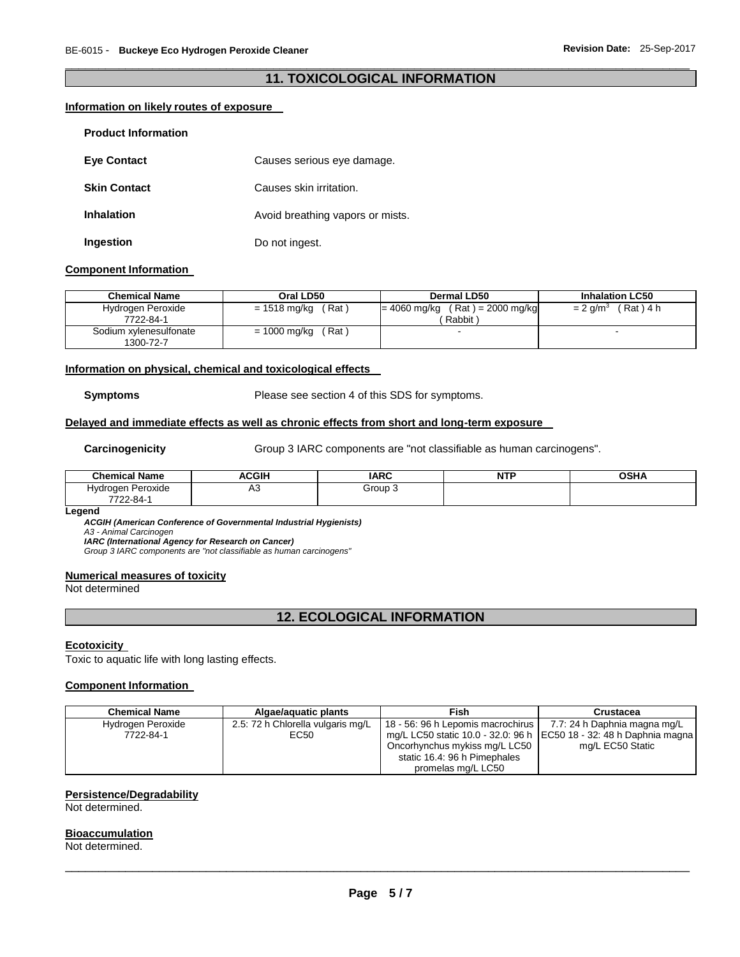# \_\_\_\_\_\_\_\_\_\_\_\_\_\_\_\_\_\_\_\_\_\_\_\_\_\_\_\_\_\_\_\_\_\_\_\_\_\_\_\_\_\_\_\_\_\_\_\_\_\_\_\_\_\_\_\_\_\_\_\_\_\_\_\_\_\_\_\_\_\_\_\_\_\_\_\_\_\_\_\_\_\_\_\_\_\_\_\_\_\_\_\_\_ **11. TOXICOLOGICAL INFORMATION**

# **Information on likely routes of exposure**

| <b>Product Information</b> |                                  |
|----------------------------|----------------------------------|
| <b>Eve Contact</b>         | Causes serious eye damage.       |
| <b>Skin Contact</b>        | Causes skin irritation.          |
| <b>Inhalation</b>          | Avoid breathing vapors or mists. |
| <b>Ingestion</b>           | Do not ingest.                   |

#### **Component Information**

| <b>Chemical Name</b>                | Oral LD50              | Dermal LD50                                  | <b>Inhalation LC50</b>           |
|-------------------------------------|------------------------|----------------------------------------------|----------------------------------|
| Hydrogen Peroxide<br>7722-84-1      | (Rat ˈ<br>= 1518 mg/kg | $= 4060$ mg/kg (Rat) = 2000 mg/kg<br>Rabbit) | $= 2$ g/m <sup>3</sup> (Rat) 4 h |
| Sodium xylenesulfonate<br>1300-72-7 | ˈRat ˈ<br>= 1000 mg/kg | $\overline{\phantom{a}}$                     |                                  |

### **Information on physical, chemical and toxicological effects**

**Symptoms** Please see section 4 of this SDS for symptoms.

# **Delayed and immediate effects as well as chronic effects from short and long-term exposure**

Carcinogenicity **Group 3 IARC** components are "not classifiable as human carcinogens".

| .<br>Chemical<br>Name                   | ACGIH    | <b>IARC</b> | <b>NTF</b> | <b>OSHA</b> |
|-----------------------------------------|----------|-------------|------------|-------------|
| Peroxide<br>Hydroger<br>22-84-1<br>フフハハ | д.<br>nυ | $Group$ .   |            |             |

#### **Legend**

*ACGIH (American Conference of Governmental Industrial Hygienists) A3 - Animal Carcinogen IARC (International Agency for Research on Cancer)*

*Group 3 IARC components are "not classifiable as human carcinogens"* 

#### **Numerical measures of toxicity**

Not determined

# **12. ECOLOGICAL INFORMATION**

#### **Ecotoxicity**

Toxic to aquatic life with long lasting effects.

### **Component Information**

| <b>Chemical Name</b> | Algae/aguatic plants              | Fish                              | Crustacea                                                             |
|----------------------|-----------------------------------|-----------------------------------|-----------------------------------------------------------------------|
| Hydrogen Peroxide    | 2.5: 72 h Chlorella vulgaris mg/L | 18 - 56: 96 h Lepomis macrochirus | 7.7: 24 h Daphnia magna mg/L                                          |
| 7722-84-1            | EC50                              |                                   | mg/L LC50 static 10.0 - 32.0: 96 h   EC50 18 - 32: 48 h Daphnia magna |
|                      |                                   | Oncorhynchus mykiss mg/L LC50     | mg/L EC50 Static                                                      |
|                      |                                   | static 16.4: 96 h Pimephales      |                                                                       |
|                      |                                   | promelas mg/L LC50                |                                                                       |

#### **Persistence/Degradability**

Not determined.

#### **Bioaccumulation**

Not determined.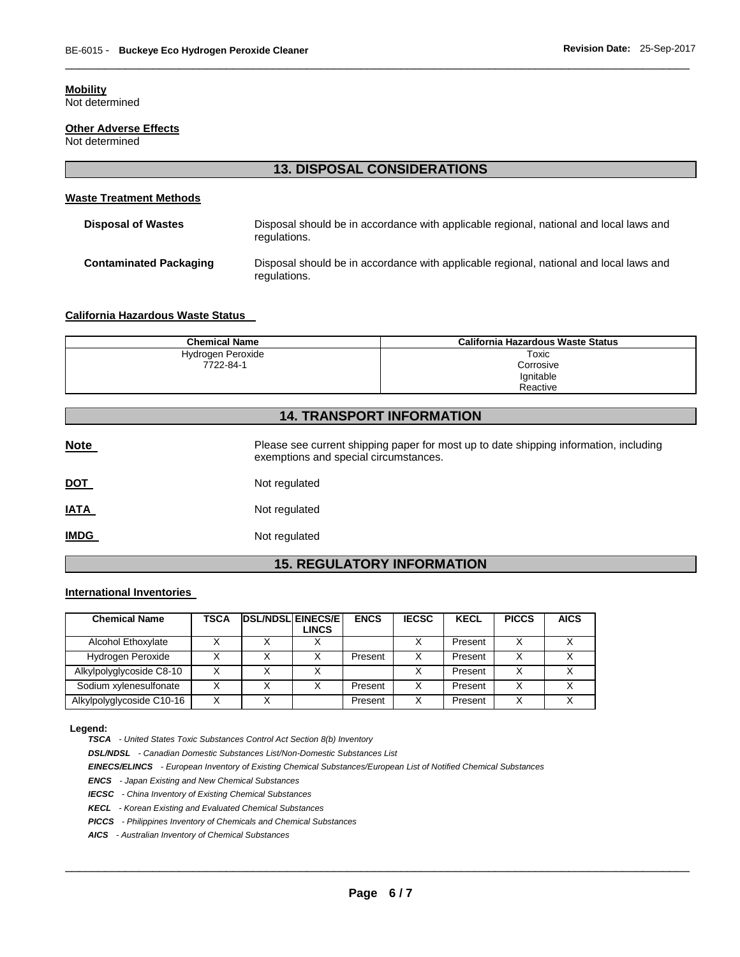# **Mobility**

Not determined

# **Other Adverse Effects**

Not determined

# **13. DISPOSAL CONSIDERATIONS**

\_\_\_\_\_\_\_\_\_\_\_\_\_\_\_\_\_\_\_\_\_\_\_\_\_\_\_\_\_\_\_\_\_\_\_\_\_\_\_\_\_\_\_\_\_\_\_\_\_\_\_\_\_\_\_\_\_\_\_\_\_\_\_\_\_\_\_\_\_\_\_\_\_\_\_\_\_\_\_\_\_\_\_\_\_\_\_\_\_\_\_\_\_

# **Waste Treatment Methods**

| <b>Disposal of Wastes</b>     | Disposal should be in accordance with applicable regional, national and local laws and<br>regulations. |
|-------------------------------|--------------------------------------------------------------------------------------------------------|
| <b>Contaminated Packaging</b> | Disposal should be in accordance with applicable regional, national and local laws and<br>regulations. |

# **California Hazardous Waste Status**

| <b>Chemical Name</b> | California Hazardous Waste Status |
|----------------------|-----------------------------------|
| Hydrogen Peroxide    | Toxic                             |
| 7722-84-1            | Corrosive                         |
|                      | Ignitable                         |
|                      | Reactive                          |

# **14. TRANSPORT INFORMATION**

| <b>Note</b> | Please see current shipping paper for most up to date shipping information, including<br>exemptions and special circumstances. |
|-------------|--------------------------------------------------------------------------------------------------------------------------------|
| <u>DOT</u>  | Not regulated                                                                                                                  |
| <u>IATA</u> | Not regulated                                                                                                                  |
| <b>IMDG</b> | Not regulated                                                                                                                  |

# **15. REGULATORY INFORMATION**

# **International Inventories**

| <b>Chemical Name</b>      | TSCA | <b>DSL/NDSL EINECS/E</b> | LINCS | <b>ENCS</b> | <b>IECSC</b> | <b>KECL</b> | <b>PICCS</b> | <b>AICS</b> |
|---------------------------|------|--------------------------|-------|-------------|--------------|-------------|--------------|-------------|
| Alcohol Ethoxylate        |      |                          |       |             |              | Present     |              |             |
| Hydrogen Peroxide         |      |                          |       | Present     | х            | Present     | X            |             |
| Alkylpolyglycoside C8-10  |      |                          |       |             |              | Present     | x            |             |
| Sodium xylenesulfonate    |      |                          |       | Present     | x            | Present     | X            |             |
| Alkylpolyglycoside C10-16 |      |                          |       | Present     | х            | Present     | v            |             |

#### **Legend:**

*TSCA - United States Toxic Substances Control Act Section 8(b) Inventory* 

*DSL/NDSL - Canadian Domestic Substances List/Non-Domestic Substances List* 

*EINECS/ELINCS - European Inventory of Existing Chemical Substances/European List of Notified Chemical Substances* 

*ENCS - Japan Existing and New Chemical Substances* 

*IECSC - China Inventory of Existing Chemical Substances* 

*KECL - Korean Existing and Evaluated Chemical Substances* 

*PICCS - Philippines Inventory of Chemicals and Chemical Substances* 

*AICS - Australian Inventory of Chemical Substances*